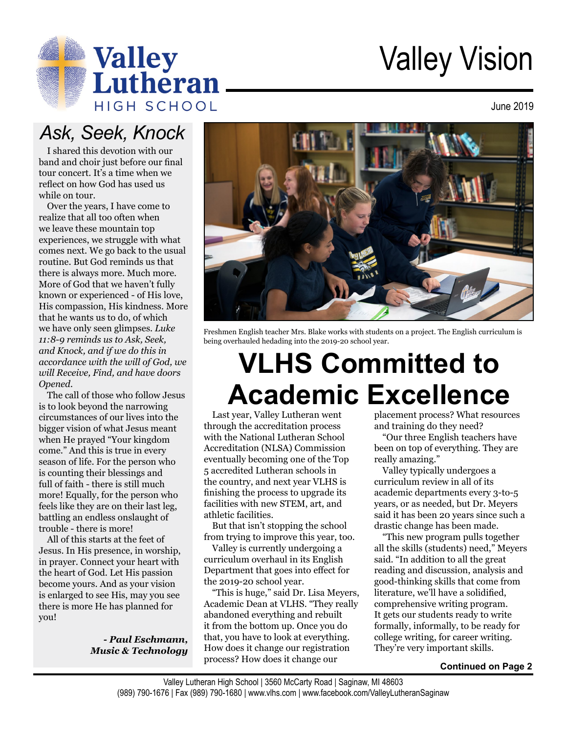

# Valley Vision

June 2019

### *Ask, Seek, Knock*

I shared this devotion with our band and choir just before our final tour concert. It's a time when we reflect on how God has used us while on tour.

Over the years, I have come to realize that all too often when we leave these mountain top experiences, we struggle with what comes next. We go back to the usual routine. But God reminds us that there is always more. Much more. More of God that we haven't fully known or experienced - of His love, His compassion, His kindness. More that he wants us to do, of which we have only seen glimpses. *Luke 11:8-9 reminds us to Ask, Seek, and Knock, and if we do this in accordance with the will of God, we will Receive, Find, and have doors Opened.* 

The call of those who follow Jesus is to look beyond the narrowing circumstances of our lives into the bigger vision of what Jesus meant when He prayed "Your kingdom come." And this is true in every season of life. For the person who is counting their blessings and full of faith - there is still much more! Equally, for the person who feels like they are on their last leg, battling an endless onslaught of trouble - there is more!

All of this starts at the feet of Jesus. In His presence, in worship, in prayer. Connect your heart with the heart of God. Let His passion become yours. And as your vision is enlarged to see His, may you see there is more He has planned for you!

> *- Paul Eschmann, Music & Technology*



Freshmen English teacher Mrs. Blake works with students on a project. The English curriculum is being overhauled hedading into the 2019-20 school year.

## **VLHS Committed to Academic Excellence**

Last year, Valley Lutheran went through the accreditation process with the National Lutheran School Accreditation (NLSA) Commission eventually becoming one of the Top 5 accredited Lutheran schools in the country, and next year VLHS is finishing the process to upgrade its facilities with new STEM, art, and athletic facilities.

But that isn't stopping the school from trying to improve this year, too.

Valley is currently undergoing a curriculum overhaul in its English Department that goes into effect for the 2019-20 school year.

"This is huge," said Dr. Lisa Meyers, Academic Dean at VLHS. "They really abandoned everything and rebuilt it from the bottom up. Once you do that, you have to look at everything. How does it change our registration process? How does it change our

placement process? What resources and training do they need?

"Our three English teachers have been on top of everything. They are really amazing."

Valley typically undergoes a curriculum review in all of its academic departments every 3-to-5 years, or as needed, but Dr. Meyers said it has been 20 years since such a drastic change has been made.

"This new program pulls together all the skills (students) need," Meyers said. "In addition to all the great reading and discussion, analysis and good-thinking skills that come from literature, we'll have a solidified, comprehensive writing program. It gets our students ready to write formally, informally, to be ready for college writing, for career writing. They're very important skills.

#### **Continued on Page 2**